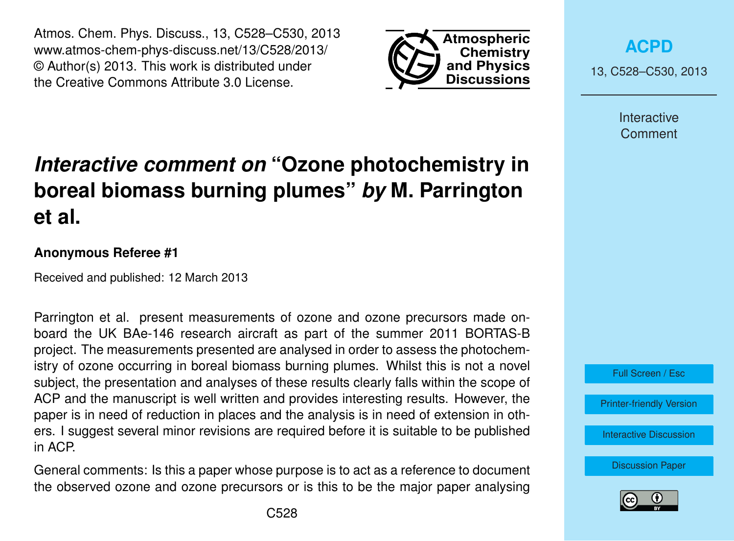Atmos. Chem. Phys. Discuss., 13, C528–C530, 2013 www.atmos-chem-phys-discuss.net/13/C528/2013/ © Author(s) 2013. This work is distributed under the Creative Commons Attribute 3.0 License.



**[ACPD](http://www.atmos-chem-phys-discuss.net)**

13, C528–C530, 2013

Interactive Comment

## *Interactive comment on* **"Ozone photochemistry in boreal biomass burning plumes"** *by* **M. Parrington et al.**

## **Anonymous Referee #1**

Received and published: 12 March 2013

Parrington et al. present measurements of ozone and ozone precursors made onboard the UK BAe-146 research aircraft as part of the summer 2011 BORTAS-B project. The measurements presented are analysed in order to assess the photochemistry of ozone occurring in boreal biomass burning plumes. Whilst this is not a novel subject, the presentation and analyses of these results clearly falls within the scope of ACP and the manuscript is well written and provides interesting results. However, the paper is in need of reduction in places and the analysis is in need of extension in others. I suggest several minor revisions are required before it is suitable to be published in ACP.

General comments: Is this a paper whose purpose is to act as a reference to document the observed ozone and ozone precursors or is this to be the major paper analysing

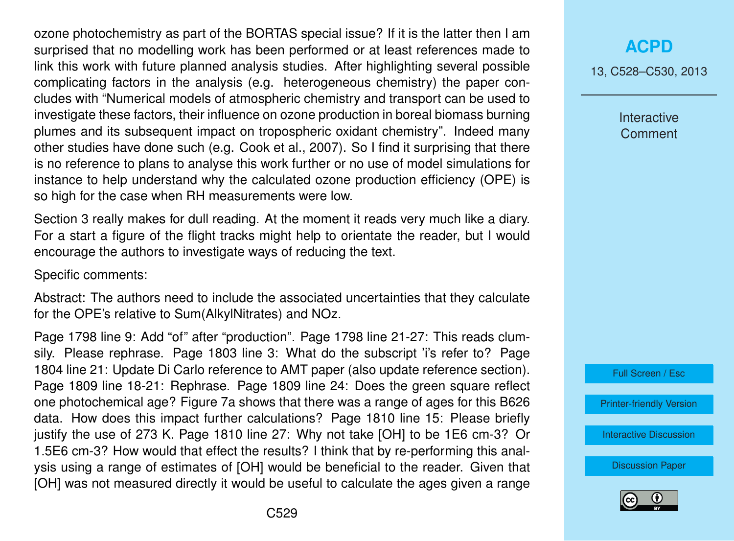ozone photochemistry as part of the BORTAS special issue? If it is the latter then I am surprised that no modelling work has been performed or at least references made to link this work with future planned analysis studies. After highlighting several possible complicating factors in the analysis (e.g. heterogeneous chemistry) the paper concludes with "Numerical models of atmospheric chemistry and transport can be used to investigate these factors, their influence on ozone production in boreal biomass burning plumes and its subsequent impact on tropospheric oxidant chemistry". Indeed many other studies have done such (e.g. Cook et al., 2007). So I find it surprising that there is no reference to plans to analyse this work further or no use of model simulations for instance to help understand why the calculated ozone production efficiency (OPE) is so high for the case when RH measurements were low.

Section 3 really makes for dull reading. At the moment it reads very much like a diary. For a start a figure of the flight tracks might help to orientate the reader, but I would encourage the authors to investigate ways of reducing the text.

Specific comments:

Abstract: The authors need to include the associated uncertainties that they calculate for the OPE's relative to Sum(AlkylNitrates) and NOz.

Page 1798 line 9: Add "of" after "production". Page 1798 line 21-27: This reads clumsily. Please rephrase. Page 1803 line 3: What do the subscript 'i's refer to? Page 1804 line 21: Update Di Carlo reference to AMT paper (also update reference section). Page 1809 line 18-21: Rephrase. Page 1809 line 24: Does the green square reflect one photochemical age? Figure 7a shows that there was a range of ages for this B626 data. How does this impact further calculations? Page 1810 line 15: Please briefly justify the use of 273 K. Page 1810 line 27: Why not take [OH] to be 1E6 cm-3? Or 1.5E6 cm-3? How would that effect the results? I think that by re-performing this analysis using a range of estimates of [OH] would be beneficial to the reader. Given that [OH] was not measured directly it would be useful to calculate the ages given a range

13, C528–C530, 2013

Interactive **Comment** 



[Printer-friendly Version](http://www.atmos-chem-phys-discuss.net/13/C528/2013/acpd-13-C528-2013-print.pdf)

[Interactive Discussion](http://www.atmos-chem-phys-discuss.net/13/1795/2013/acpd-13-1795-2013-discussion.html)

[Discussion Paper](http://www.atmos-chem-phys-discuss.net/13/1795/2013/acpd-13-1795-2013.pdf)